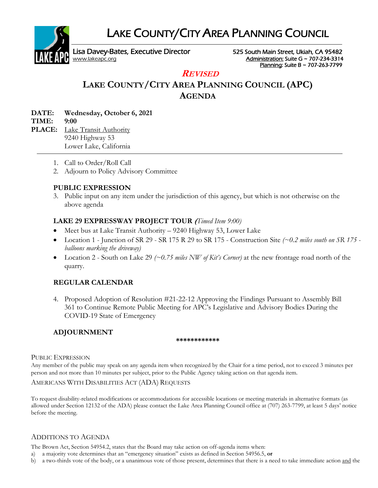LAKE COUNTY/CITY AREA PLANNING COUNCIL



Lisa Davey-Bates, Executive Director 525 South Main Street, Ukiah, CA 95482 [www.lakeapc.org](http://www.lakeapc.org/) **Administration: Suite G ~ 707-234-3314** 

Planning: Suite B ~ 707-263-7799

## **REVISED**

# **LAKE COUNTY/CITY AREA PLANNING COUNCIL (APC) AGENDA**

| <b>DATE:</b> | Wednesday, October 6, 2021 |
|--------------|----------------------------|
| TIME: 9:00   |                            |

**PLACE:** Lake Transit Authority 9240 Highway 53 Lower Lake, California

- 1. Call to Order/Roll Call
- 2. Adjourn to Policy Advisory Committee

### **PUBLIC EXPRESSION**

3. Public input on any item under the jurisdiction of this agency, but which is not otherwise on the above agenda

### **LAKE 29 EXPRESSWAY PROJECT TOUR (***Timed Item 9:00)*

- Meet bus at Lake Transit Authority 9240 Highway 53, Lower Lake
- Location 1 Junction of SR 29 SR 175 R 29 to SR 175 Construction Site *(~0.2 miles south on SR 175 balloons marking the driveway)*
- Location 2 South on Lake 29 *(~0.75 miles NW of Kit's Corner)* at the new frontage road north of the quarry.

### **REGULAR CALENDAR**

4. Proposed Adoption of Resolution #21-22-12 Approving the Findings Pursuant to Assembly Bill 361 to Continue Remote Public Meeting for APC's Legislative and Advisory Bodies During the COVID-19 State of Emergency

### **ADJOURNMENT**

#### **\*\*\*\*\*\*\*\*\*\*\*\***

#### PUBLIC EXPRESSION

Any member of the public may speak on any agenda item when recognized by the Chair for a time period, not to exceed 3 minutes per person and not more than 10 minutes per subject, prior to the Public Agency taking action on that agenda item.

#### AMERICANS WITH DISABILITIES ACT (ADA) REQUESTS

To request disability-related modifications or accommodations for accessible locations or meeting materials in alternative formats (as allowed under Section 12132 of the ADA) please contact the Lake Area Planning Council office at (707) 263-7799, at least 5 days' notice before the meeting.

### ADDITIONS TO AGENDA

The Brown Act, Section 54954.2, states that the Board may take action on off-agenda items when:

- a) a majority vote determines that an "emergency situation" exists as defined in Section 54956.5, **or**
- b) a two-thirds vote of the body, or a unanimous vote of those present, determines that there is a need to take immediate action and the